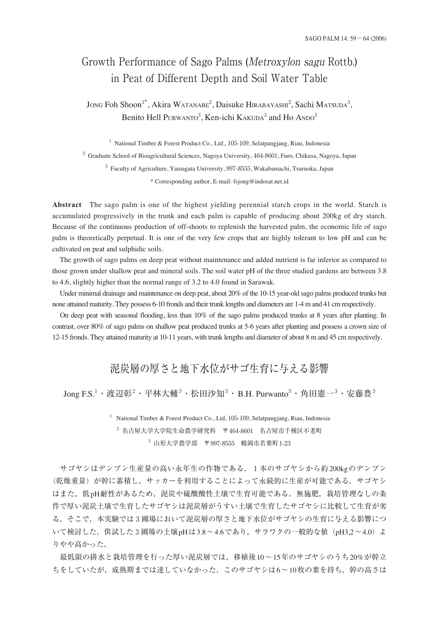# Growth Performance of Sago Palms (Metroxylon sagu Rottb.) in Peat of Different Depth and Soil Water Table

Jong Foh Shoon<sup>1\*</sup>, Akira Watanabe<sup>2</sup>, Daisuke Hirabayashi<sup>3</sup>, Sachi Matsuda<sup>3</sup>, Benito Hell Purwanto<sup>3</sup>, Ken-ichi Kakuda<sup>3</sup> and Ho Ando<sup>3</sup>

<sup>1</sup> National Timber & Forest Product Co., Ltd., 105-109, Selatpangjang, Riau, Indonesia

<sup>2</sup> Graduate School of Bioagricultural Sciences, Nagoya University, 464-8601, Furo, Chikusa, Nagoya, Japan

<sup>3</sup> Faculty of Agriculture, Yamagata University, 997-8555, Wakabamachi, Tsuruoka, Japan

\* Corresponding author, E-mail: fsjong@indosat.net.id

**Abstract** The sago palm is one of the highest yielding perennial starch crops in the world. Starch is accumulated progressively in the trunk and each palm is capable of producing about 200kg of dry starch. Because of the continuous production of off-shoots to replenish the harvested palm, the economic life of sago palm is theoretically perpetual. It is one of the very few crops that are highly tolerant to low pH and can be cultivated on peat and sulphidic soils.

The growth of sago palms on deep peat without maintenance and added nutrient is far inferior as compared to those grown under shallow peat and mineral soils. The soil water pH of the three studied gardens are between 3.8 to 4.6, slightly higher than the normal range of 3.2 to 4.0 found in Sarawak.

Under minimal drainage and maintenance on deep peat, about 20% of the 10-15 year-old sago palms produced trunks but none attained maturity. They possess 6-10 fronds and their trunk lengths and diameters are 1-4 m and 41 cm respectively.

On deep peat with seasonal flooding, less than 10% of the sago palms produced trunks at 8 years after planting. In contrast, over 80% of sago palms on shallow peat produced trunks at 5-6 years after planting and possess a crown size of 12-15 fronds. They attained maturity at 10-11 years, with trunk lengths and diameter of about 8 m and 45 cm respectively.

## 泥炭層の厚さと地下水位がサゴ生育に与える影響

Jong F.S.<sup>1</sup>・渡辺彰<sup>2</sup>・平林大輔<sup>3</sup>・松田沙知<sup>3</sup>・B.H. Purwanto<sup>3</sup>・角田憲一<sup>3</sup>・安藤豊<sup>3</sup>

<sup>1</sup> National Timber & Forest Product Co., Ltd, 105-109, Selatpangjang, Riau, Indonesia <sup>2</sup> 名古屋大学大学院生命農学研究科 〒464-8601 名古屋市千種区不老町  $3$  山形大学農学部 〒997-8555 鶴岡市若葉町1-23

サゴヤシはデンプン生産量の高い永年生の作物である.1本のサゴヤシから約200kgのデンプン (乾燥重量)が幹に蓄積し、サッカーを利用することによって永続的に生産が可能である. サゴヤシ はまた,低pH耐性があるため,泥炭や硫酸酸性土壌で生育可能である.無施肥,栽培管理なしの条 件で厚い泥炭土壌で生育したサゴヤシは泥炭層がうすい土壌で生育したサゴヤシに比較して生育が劣 る.そこで,本実験では3圃場において泥炭層の厚さと地下水位がサゴヤシの生育に与える影響につ いて検討した. 供試した3 圃場の土壌 pHは3.8~4.6であり, サラワクの一般的な値 (pH3.2~4.0) よ りやや高かった.

最低限の排水と栽培管理を行った厚い泥炭層では,移植後10〜15年のサゴヤシのうち20%が幹立 ちをしていたが、成熟期までは達していなかった。このサゴヤシは6~10枚の葉を持ち、幹の高さは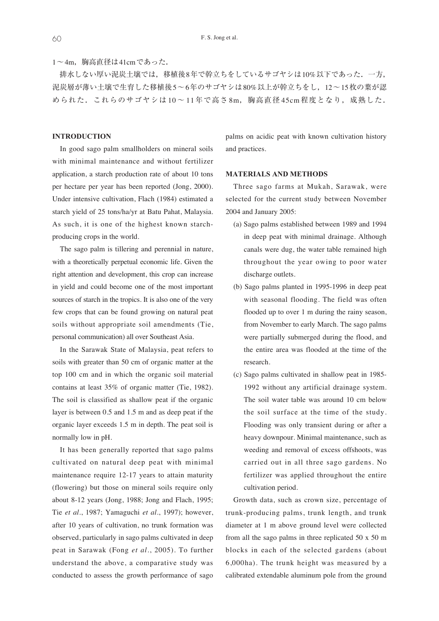1〜4m,胸高直径は41cmであった.

排水しない厚い泥炭土壌では,移植後8年で幹立ちをしているサゴヤシは10%以下であった.一方, 泥炭層が薄い土壌で生育した移植後5〜6年のサゴヤシは80%以上が幹立ちをし,12〜15枚の葉が認 められた. これらのサゴヤシは10~11年で高さ8m,胸高直径45cm程度となり,成熟した.

#### **INTRODUCTION**

In good sago palm smallholders on mineral soils with minimal maintenance and without fertilizer application, a starch production rate of about 10 tons per hectare per year has been reported (Jong, 2000). Under intensive cultivation, Flach (1984) estimated a starch yield of 25 tons/ha/yr at Batu Pahat, Malaysia. As such, it is one of the highest known starchproducing crops in the world.

The sago palm is tillering and perennial in nature, with a theoretically perpetual economic life. Given the right attention and development, this crop can increase in yield and could become one of the most important sources of starch in the tropics. It is also one of the very few crops that can be found growing on natural peat soils without appropriate soil amendments (Tie, personal communication) all over Southeast Asia.

In the Sarawak State of Malaysia, peat refers to soils with greater than 50 cm of organic matter at the top 100 cm and in which the organic soil material contains at least 35% of organic matter (Tie, 1982). The soil is classified as shallow peat if the organic layer is between 0.5 and 1.5 m and as deep peat if the organic layer exceeds 1.5 m in depth. The peat soil is normally low in pH.

It has been generally reported that sago palms cultivated on natural deep peat with minimal maintenance require 12-17 years to attain maturity (flowering) but those on mineral soils require only about 8-12 years (Jong, 1988; Jong and Flach, 1995; Tie *et al*., 1987; Yamaguchi *et al*., 1997); however, after 10 years of cultivation, no trunk formation was observed, particularly in sago palms cultivated in deep peat in Sarawak (Fong *et al*., 2005). To further understand the above, a comparative study was conducted to assess the growth performance of sago

palms on acidic peat with known cultivation history and practices.

#### **MATERIALS AND METHODS**

Three sago farms at Mukah, Sarawak, were selected for the current study between November 2004 and January 2005:

- (a) Sago palms established between 1989 and 1994 in deep peat with minimal drainage. Although canals were dug, the water table remained high throughout the year owing to poor water discharge outlets.
- (b) Sago palms planted in 1995-1996 in deep peat with seasonal flooding. The field was often flooded up to over 1 m during the rainy season, from November to early March. The sago palms were partially submerged during the flood, and the entire area was flooded at the time of the research.
- (c) Sago palms cultivated in shallow peat in 1985- 1992 without any artificial drainage system. The soil water table was around 10 cm below the soil surface at the time of the study. Flooding was only transient during or after a heavy downpour. Minimal maintenance, such as weeding and removal of excess offshoots, was carried out in all three sago gardens. No fertilizer was applied throughout the entire cultivation period.

Growth data, such as crown size, percentage of trunk-producing palms, trunk length, and trunk diameter at 1 m above ground level were collected from all the sago palms in three replicated 50 x 50 m blocks in each of the selected gardens (about 6,000ha). The trunk height was measured by a calibrated extendable aluminum pole from the ground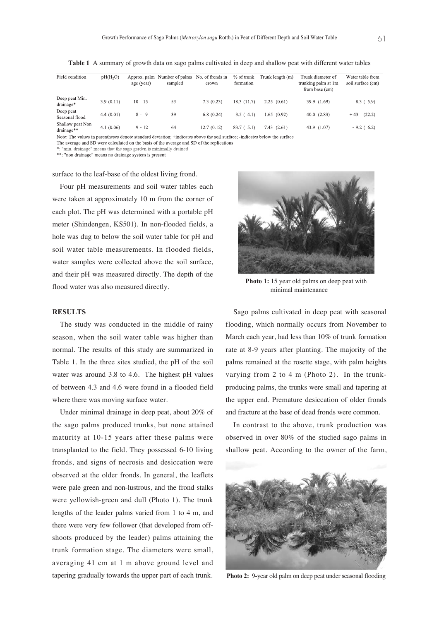| Field condition                | pH(H, O)  | age (year) | Approx, palm Number of palms No. of fronds in<br>sampled | crown      | $%$ of trunk<br>formation | Trunk length (m) | Trunk diameter of<br>trunking palm at 1m<br>from base (cm) | Water table from<br>soil surface (cm) |
|--------------------------------|-----------|------------|----------------------------------------------------------|------------|---------------------------|------------------|------------------------------------------------------------|---------------------------------------|
| Deep peat Min.<br>drainage*    | 3.9(0.11) | $10 - 15$  | 53                                                       | 7.3(0.23)  | 18.3 (11.7)               | 2.25(0.61)       | 39.9 (1.69)                                                | $-8.3(5.9)$                           |
| Deep peat<br>Seasonal flood    | 4.4(0.01) | $8 - 9$    | 39                                                       | 6.8(0.24)  | 3.5(4.1)                  | 1.65(0.92)       | 40.0(2.83)                                                 | (22.2)<br>$+43$                       |
| Shallow peat Non<br>drainage** | 4.1(0.06) | $9 - 12$   | 64                                                       | 12.7(0.12) | 83.7(5.1)                 | 7.43 (2.61)      | 43.9 (1.07)                                                | $-9.2$ (6.2)                          |

**Table 1** A summary of growth data on sago palms cultivated in deep and shallow peat with different water tables

Note: The values in parentheses denote standard deviation; +indicates above the soil surface; -indicates below the surface

The average and SD were calculated on the basis of the average and SD of the replications

"min. drainage" means that the sago garden is minimally drained

\*\*: "non drainage" means no drainage system is present

surface to the leaf-base of the oldest living frond.

Four pH measurements and soil water tables each were taken at approximately 10 m from the corner of each plot. The pH was determined with a portable pH meter (Shindengen, KS501). In non-flooded fields, a hole was dug to below the soil water table for pH and soil water table measurements. In flooded fields, water samples were collected above the soil surface, and their pH was measured directly. The depth of the flood water was also measured directly.

#### **RESULTS**

The study was conducted in the middle of rainy season, when the soil water table was higher than normal. The results of this study are summarized in Table 1. In the three sites studied, the pH of the soil water was around 3.8 to 4.6. The highest pH values of between 4.3 and 4.6 were found in a flooded field where there was moving surface water.

Under minimal drainage in deep peat, about 20% of the sago palms produced trunks, but none attained maturity at 10-15 years after these palms were transplanted to the field. They possessed 6-10 living fronds, and signs of necrosis and desiccation were observed at the older fronds. In general, the leaflets were pale green and non-lustrous, and the frond stalks were yellowish-green and dull (Photo 1). The trunk lengths of the leader palms varied from 1 to 4 m, and there were very few follower (that developed from offshoots produced by the leader) palms attaining the trunk formation stage. The diameters were small, averaging 41 cm at 1 m above ground level and tapering gradually towards the upper part of each trunk.



**Photo 1:** 15 year old palms on deep peat with minimal maintenance

Sago palms cultivated in deep peat with seasonal flooding, which normally occurs from November to March each year, had less than 10% of trunk formation rate at 8-9 years after planting. The majority of the palms remained at the rosette stage, with palm heights varying from 2 to 4 m (Photo 2). In the trunkproducing palms, the trunks were small and tapering at the upper end. Premature desiccation of older fronds and fracture at the base of dead fronds were common.

In contrast to the above, trunk production was observed in over 80% of the studied sago palms in shallow peat. According to the owner of the farm,



**Photo 2:** 9-year old palm on deep peat under seasonal flooding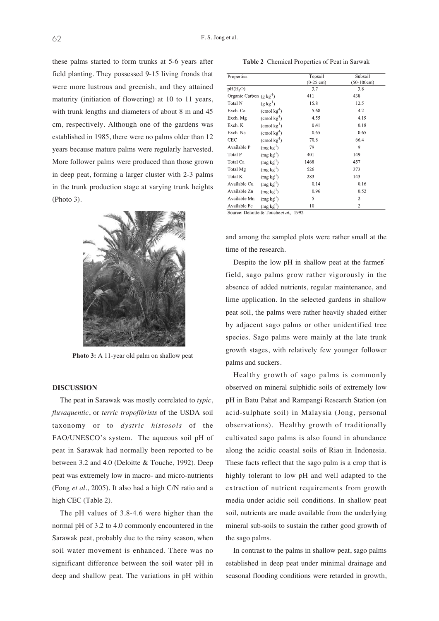these palms started to form trunks at 5-6 years after field planting. They possessed 9-15 living fronds that were more lustrous and greenish, and they attained maturity (initiation of flowering) at 10 to 11 years, with trunk lengths and diameters of about 8 m and 45 cm, respectively. Although one of the gardens was established in 1985, there were no palms older than 12 years because mature palms were regularly harvested. More follower palms were produced than those grown in deep peat, forming a larger cluster with 2-3 palms in the trunk production stage at varying trunk heights (Photo 3).



Photo 3: A 11-year old palm on shallow peat

#### **DISCUSSION**

The peat in Sarawak was mostly correlated to *typic*, *fluvaquentic*, or *terric tropofibrists* of the USDA soil taxonomy or to *dystric histosols* of the FAO/UNESCO's system. The aqueous soil pH of peat in Sarawak had normally been reported to be between 3.2 and 4.0 (Deloitte & Touche, 1992). Deep peat was extremely low in macro- and micro-nutrients (Fong *et al*., 2005). It also had a high C/N ratio and a high CEC (Table 2).

The pH values of 3.8-4.6 were higher than the normal pH of 3.2 to 4.0 commonly encountered in the Sarawak peat, probably due to the rainy season, when soil water movement is enhanced. There was no significant difference between the soil water pH in deep and shallow peat. The variations in pH within

**Table 2** Chemical Properties of Peat in Sarwak

| Properties                      |                               | Topsoil     | Subsoil        |  |
|---------------------------------|-------------------------------|-------------|----------------|--|
|                                 |                               | $(0-25$ cm) | $(50-100cm)$   |  |
| pH(H, O)                        |                               | 3.7         | 3.8<br>438     |  |
| Organic Carbon $(g \, kg^{-1})$ |                               | 411         |                |  |
| Total N                         | $(g \text{ kg}^{-1})$         | 15.8        | 12.5           |  |
| Exch. Ca                        | $(\text{cmol kg}^1)$          | 5.68        | 4.2            |  |
| Exch. Mg                        | $(\text{cmol kg}^{\text{1}})$ | 4.55        | 4.19           |  |
| Exch. K                         | $(\text{cmol kg}^1)$          | 0.41        | 0.18           |  |
| Exch. Na                        | $\pmod{kg^1}$                 | 0.65        | 0.65           |  |
| <b>CEC</b>                      | $(\text{cmol kg}^1)$          | 70.8        | 66.4           |  |
| Available P                     | (mg kg <sup>1</sup> )         | 79          | 9              |  |
| Total P                         | (mg kg <sup>1</sup> )         | 401         | 149            |  |
| Total Ca                        | (mg kg <sup>1</sup> )         | 1468        | 457            |  |
| Total Mg                        | (mg kg <sup>1</sup> )         | 526         | 373            |  |
| Total K                         | $(mg kg-1)$                   | 283         | 143            |  |
| Available Cu                    | (mg kg <sup>1</sup> )         | 0.14        | 0.16           |  |
| Available Zn                    | $(mg kg-1)$                   | 0.96        | 0.52           |  |
| Available Mn                    | (mg kg <sup>1</sup> )         | 5           | $\overline{c}$ |  |
| Available Fe                    | $(mg kg-1)$                   | 10          | $\overline{c}$ |  |

Source: Deloitte & Toucheet al., 1992

and among the sampled plots were rather small at the time of the research.

Despite the low pH in shallow peat at the farmers' field, sago palms grow rather vigorously in the absence of added nutrients, regular maintenance, and lime application. In the selected gardens in shallow peat soil, the palms were rather heavily shaded either by adjacent sago palms or other unidentified tree species. Sago palms were mainly at the late trunk growth stages, with relatively few younger follower palms and suckers.

Healthy growth of sago palms is commonly observed on mineral sulphidic soils of extremely low pH in Batu Pahat and Rampangi Research Station (on acid-sulphate soil) in Malaysia (Jong, personal observations). Healthy growth of traditionally cultivated sago palms is also found in abundance along the acidic coastal soils of Riau in Indonesia. These facts reflect that the sago palm is a crop that is highly tolerant to low pH and well adapted to the extraction of nutrient requirements from growth media under acidic soil conditions. In shallow peat soil, nutrients are made available from the underlying mineral sub-soils to sustain the rather good growth of the sago palms.

In contrast to the palms in shallow peat, sago palms established in deep peat under minimal drainage and seasonal flooding conditions were retarded in growth,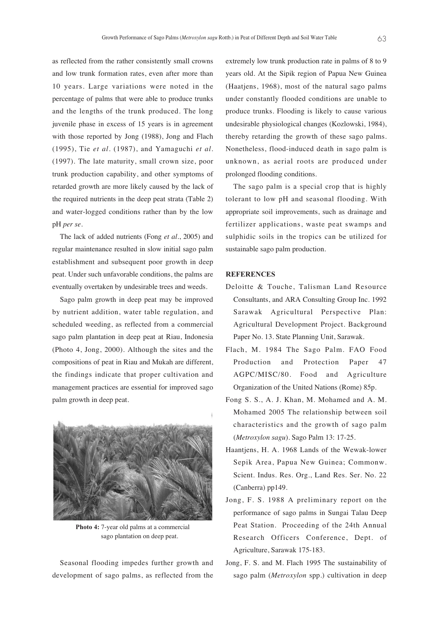as reflected from the rather consistently small crowns and low trunk formation rates, even after more than 10 years. Large variations were noted in the percentage of palms that were able to produce trunks and the lengths of the trunk produced. The long juvenile phase in excess of 15 years is in agreement with those reported by Jong (1988), Jong and Flach (1995), Tie *et al*. (1987), and Yamaguchi *et al*. (1997). The late maturity, small crown size, poor trunk production capability, and other symptoms of retarded growth are more likely caused by the lack of the required nutrients in the deep peat strata (Table 2) and water-logged conditions rather than by the low pH *per se*.

The lack of added nutrients (Fong *et al*., 2005) and regular maintenance resulted in slow initial sago palm establishment and subsequent poor growth in deep peat. Under such unfavorable conditions, the palms are eventually overtaken by undesirable trees and weeds.

Sago palm growth in deep peat may be improved by nutrient addition, water table regulation, and scheduled weeding, as reflected from a commercial sago palm plantation in deep peat at Riau, Indonesia (Photo 4, Jong, 2000). Although the sites and the compositions of peat in Riau and Mukah are different, the findings indicate that proper cultivation and management practices are essential for improved sago palm growth in deep peat.



**Photo 4:** 7-year old palms at a commercial sago plantation on deep peat.

Seasonal flooding impedes further growth and development of sago palms, as reflected from the extremely low trunk production rate in palms of 8 to 9 years old. At the Sipik region of Papua New Guinea (Haatjens, 1968), most of the natural sago palms under constantly flooded conditions are unable to produce trunks. Flooding is likely to cause various undesirable physiological changes (Kozlowski, 1984), thereby retarding the growth of these sago palms. Nonetheless, flood-induced death in sago palm is unknown, as aerial roots are produced under prolonged flooding conditions.

The sago palm is a special crop that is highly tolerant to low pH and seasonal flooding. With appropriate soil improvements, such as drainage and fertilizer applications, waste peat swamps and sulphidic soils in the tropics can be utilized for sustainable sago palm production.

### **REFERENCES**

- Deloitte & Touche, Talisman Land Resource Consultants, and ARA Consulting Group Inc. 1992 Sarawak Agricultural Perspective Plan: Agricultural Development Project. Background Paper No. 13. State Planning Unit, Sarawak.
- Flach, M. 1984 The Sago Palm. FAO Food Production and Protection Paper 47 AGPC/MISC/80. Food and Agriculture Organization of the United Nations (Rome) 85p.
- Fong S. S., A. J. Khan, M. Mohamed and A. M. Mohamed 2005 The relationship between soil characteristics and the growth of sago palm (*Metroxylon sagu*). Sago Palm 13: 17-25.
- Haantjens, H. A. 1968 Lands of the Wewak-lower Sepik Area, Papua New Guinea; Commonw. Scient. Indus. Res. Org., Land Res. Ser. No. 22 (Canberra) pp149.
- Jong, F. S. 1988 A preliminary report on the performance of sago palms in Sungai Talau Deep Peat Station. Proceeding of the 24th Annual Research Officers Conference, Dept. of Agriculture, Sarawak 175-183.
- Jong, F. S. and M. Flach 1995 The sustainability of sago palm (*Metroxylon* spp.) cultivation in deep